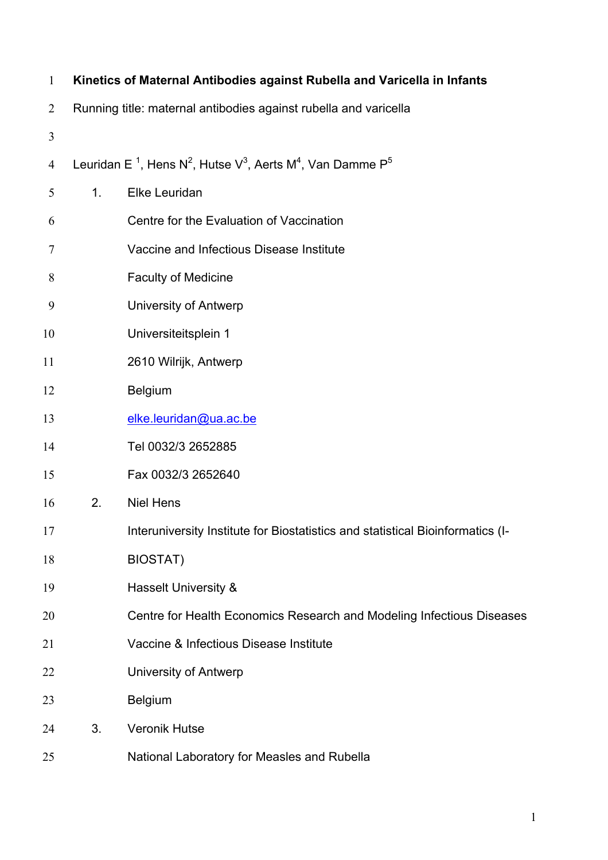| $\mathbf{1}$   | Kinetics of Maternal Antibodies against Rubella and Varicella in Infants |                                                                                                                    |
|----------------|--------------------------------------------------------------------------|--------------------------------------------------------------------------------------------------------------------|
| $\overline{2}$ | Running title: maternal antibodies against rubella and varicella         |                                                                                                                    |
| 3              |                                                                          |                                                                                                                    |
| $\overline{4}$ |                                                                          | Leuridan E <sup>1</sup> , Hens N <sup>2</sup> , Hutse $\sqrt{3}$ , Aerts M <sup>4</sup> , Van Damme P <sup>5</sup> |
| 5              | 1.                                                                       | Elke Leuridan                                                                                                      |
| 6              |                                                                          | Centre for the Evaluation of Vaccination                                                                           |
| 7              |                                                                          | Vaccine and Infectious Disease Institute                                                                           |
| 8              |                                                                          | Faculty of Medicine                                                                                                |
| 9              |                                                                          | University of Antwerp                                                                                              |
| 10             |                                                                          | Universiteitsplein 1                                                                                               |
| 11             |                                                                          | 2610 Wilrijk, Antwerp                                                                                              |
| 12             |                                                                          | <b>Belgium</b>                                                                                                     |
| 13             |                                                                          | elke.leuridan@ua.ac.be                                                                                             |
| 14             |                                                                          | Tel 0032/3 2652885                                                                                                 |
| 15             |                                                                          | Fax 0032/3 2652640                                                                                                 |
| 16             | 2.                                                                       | <b>Niel Hens</b>                                                                                                   |
| 17             |                                                                          | Interuniversity Institute for Biostatistics and statistical Bioinformatics (I-                                     |
| 18             |                                                                          | <b>BIOSTAT)</b>                                                                                                    |
| 19             |                                                                          | Hasselt University &                                                                                               |
| 20             |                                                                          | Centre for Health Economics Research and Modeling Infectious Diseases                                              |
| 21             |                                                                          | Vaccine & Infectious Disease Institute                                                                             |
| 22             |                                                                          | University of Antwerp                                                                                              |
| 23             |                                                                          | <b>Belgium</b>                                                                                                     |
| 24             | 3.                                                                       | <b>Veronik Hutse</b>                                                                                               |
| 25             |                                                                          | National Laboratory for Measles and Rubella                                                                        |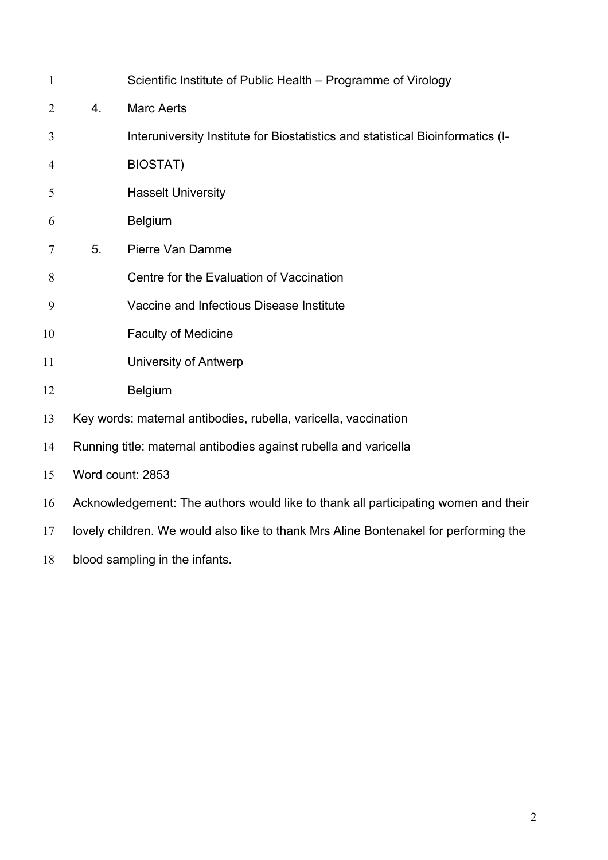| $\mathbf{1}$   |                                                                                      | Scientific Institute of Public Health – Programme of Virology                  |
|----------------|--------------------------------------------------------------------------------------|--------------------------------------------------------------------------------|
| $\overline{2}$ | 4.                                                                                   | <b>Marc Aerts</b>                                                              |
| 3              |                                                                                      | Interuniversity Institute for Biostatistics and statistical Bioinformatics (I- |
| $\overline{4}$ |                                                                                      | <b>BIOSTAT)</b>                                                                |
| 5              |                                                                                      | <b>Hasselt University</b>                                                      |
| 6              |                                                                                      | Belgium                                                                        |
| 7              | 5.                                                                                   | Pierre Van Damme                                                               |
| 8              |                                                                                      | Centre for the Evaluation of Vaccination                                       |
| 9              |                                                                                      | Vaccine and Infectious Disease Institute                                       |
| 10             |                                                                                      | <b>Faculty of Medicine</b>                                                     |
| 11             |                                                                                      | University of Antwerp                                                          |
| 12             |                                                                                      | Belgium                                                                        |
| 13             | Key words: maternal antibodies, rubella, varicella, vaccination                      |                                                                                |
| 14             | Running title: maternal antibodies against rubella and varicella                     |                                                                                |
| 15             | Word count: 2853                                                                     |                                                                                |
| 16             | Acknowledgement: The authors would like to thank all participating women and their   |                                                                                |
| 17             | lovely children. We would also like to thank Mrs Aline Bontenakel for performing the |                                                                                |
|                |                                                                                      |                                                                                |

blood sampling in the infants.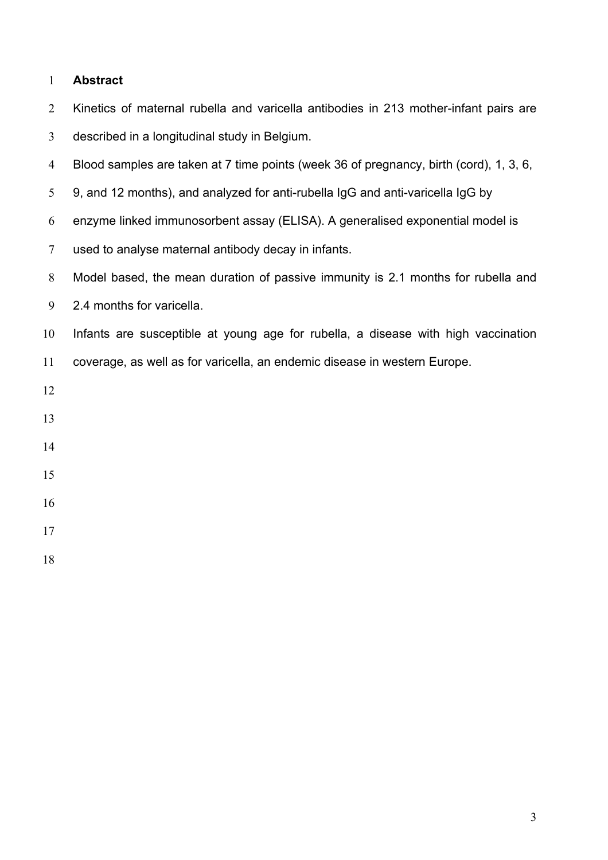# **Abstract**

Kinetics of maternal rubella and varicella antibodies in 213 mother-infant pairs are

described in a longitudinal study in Belgium.

- Blood samples are taken at 7 time points (week 36 of pregnancy, birth (cord), 1, 3, 6,
- 9, and 12 months), and analyzed for anti-rubella IgG and anti-varicella IgG by
- enzyme linked immunosorbent assay (ELISA). A generalised exponential model is
- used to analyse maternal antibody decay in infants.
- Model based, the mean duration of passive immunity is 2.1 months for rubella and
- 2.4 months for varicella.
- Infants are susceptible at young age for rubella, a disease with high vaccination
- coverage, as well as for varicella, an endemic disease in western Europe.
- 
- 
- 
- 
- 
- 
- 
-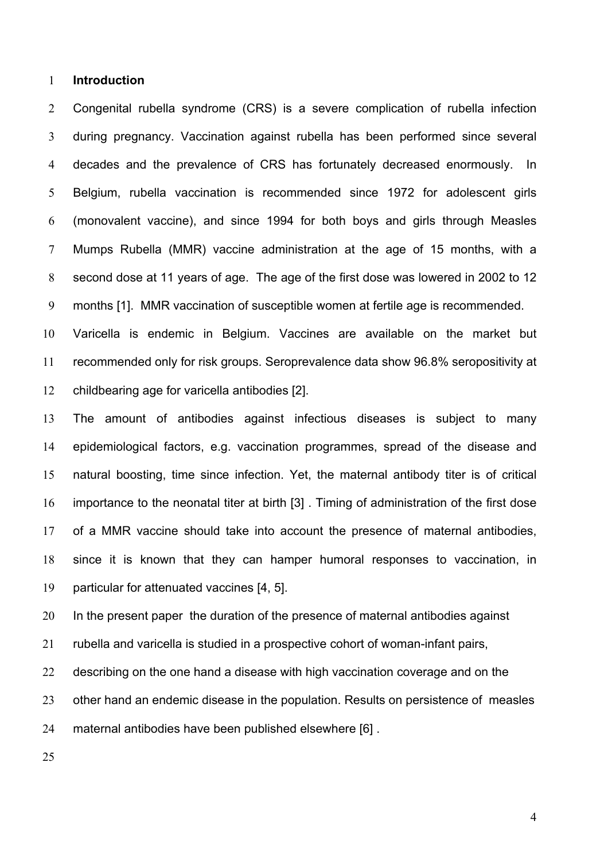#### **Introduction**

 Congenital rubella syndrome (CRS) is a severe complication of rubella infection during pregnancy. Vaccination against rubella has been performed since several decades and the prevalence of CRS has fortunately decreased enormously. In Belgium, rubella vaccination is recommended since 1972 for adolescent girls (monovalent vaccine), and since 1994 for both boys and girls through Measles Mumps Rubella (MMR) vaccine administration at the age of 15 months, with a second dose at 11 years of age. The age of the first dose was lowered in 2002 to 12 months [1]. MMR vaccination of susceptible women at fertile age is recommended.

 Varicella is endemic in Belgium. Vaccines are available on the market but recommended only for risk groups. Seroprevalence data show 96.8% seropositivity at childbearing age for varicella antibodies [2].

 The amount of antibodies against infectious diseases is subject to many epidemiological factors, e.g. vaccination programmes, spread of the disease and natural boosting, time since infection. Yet, the maternal antibody titer is of critical importance to the neonatal titer at birth [3] . Timing of administration of the first dose of a MMR vaccine should take into account the presence of maternal antibodies, since it is known that they can hamper humoral responses to vaccination, in particular for attenuated vaccines [4, 5].

In the present paper the duration of the presence of maternal antibodies against

rubella and varicella is studied in a prospective cohort of woman-infant pairs,

22 describing on the one hand a disease with high vaccination coverage and on the

other hand an endemic disease in the population. Results on persistence of measles

maternal antibodies have been published elsewhere [6] .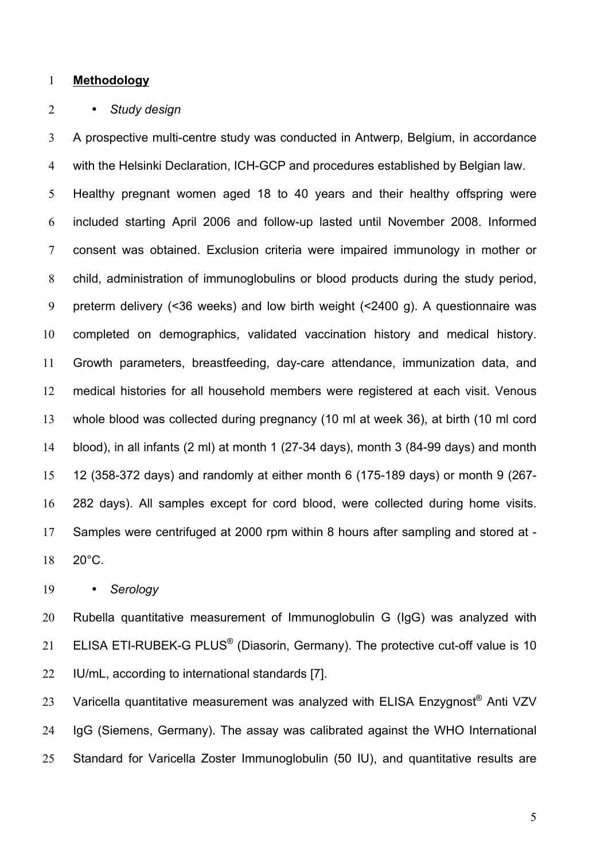#### **Methodology**

#### • *Study design*

 A prospective multi-centre study was conducted in Antwerp, Belgium, in accordance with the Helsinki Declaration, ICH-GCP and procedures established by Belgian law.

 Healthy pregnant women aged 18 to 40 years and their healthy offspring were included starting April 2006 and follow-up lasted until November 2008. Informed consent was obtained. Exclusion criteria were impaired immunology in mother or child, administration of immunoglobulins or blood products during the study period, preterm delivery (<36 weeks) and low birth weight (<2400 g). A questionnaire was completed on demographics, validated vaccination history and medical history. Growth parameters, breastfeeding, day-care attendance, immunization data, and medical histories for all household members were registered at each visit. Venous whole blood was collected during pregnancy (10 ml at week 36), at birth (10 ml cord blood), in all infants (2 ml) at month 1 (27-34 days), month 3 (84-99 days) and month 12 (358-372 days) and randomly at either month 6 (175-189 days) or month 9 (267- 282 days). All samples except for cord blood, were collected during home visits. Samples were centrifuged at 2000 rpm within 8 hours after sampling and stored at - 20°C.

• *Serology*

 Rubella quantitative measurement of Immunoglobulin G (IgG) was analyzed with 21 ELISA ETI-RUBEK-G PLUS<sup>®</sup> (Diasorin, Germany). The protective cut-off value is 10 IU/mL, according to international standards [7].

23 Varicella quantitative measurement was analyzed with ELISA Enzygnost® Anti VZV IgG (Siemens, Germany). The assay was calibrated against the WHO International Standard for Varicella Zoster Immunoglobulin (50 IU), and quantitative results are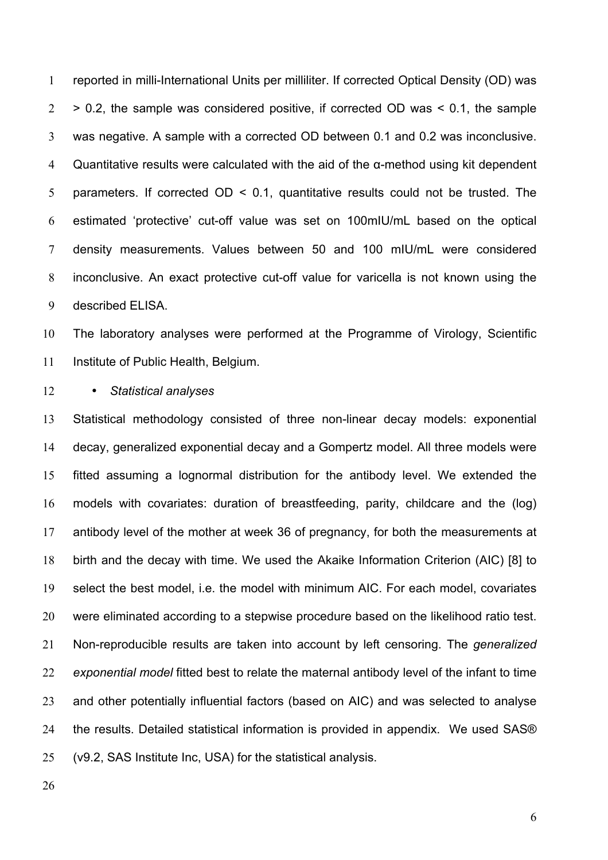reported in milli-International Units per milliliter. If corrected Optical Density (OD) was  $2 \rightarrow 0.2$ , the sample was considered positive, if corrected OD was  $\leq 0.1$ , the sample was negative. A sample with a corrected OD between 0.1 and 0.2 was inconclusive. 4 Quantitative results were calculated with the aid of the  $\alpha$ -method using kit dependent parameters. If corrected OD < 0.1, quantitative results could not be trusted. The estimated 'protective' cut-off value was set on 100mIU/mL based on the optical density measurements. Values between 50 and 100 mIU/mL were considered inconclusive. An exact protective cut-off value for varicella is not known using the described ELISA.

 The laboratory analyses were performed at the Programme of Virology, Scientific Institute of Public Health, Belgium.

# • *Statistical analyses*

 Statistical methodology consisted of three non-linear decay models: exponential decay, generalized exponential decay and a Gompertz model. All three models were fitted assuming a lognormal distribution for the antibody level. We extended the models with covariates: duration of breastfeeding, parity, childcare and the (log) antibody level of the mother at week 36 of pregnancy, for both the measurements at birth and the decay with time. We used the Akaike Information Criterion (AIC) [8] to select the best model, i.e. the model with minimum AIC. For each model, covariates were eliminated according to a stepwise procedure based on the likelihood ratio test. Non-reproducible results are taken into account by left censoring. The *generalized exponential model* fitted best to relate the maternal antibody level of the infant to time and other potentially influential factors (based on AIC) and was selected to analyse the results. Detailed statistical information is provided in appendix. We used SAS® (v9.2, SAS Institute Inc, USA) for the statistical analysis.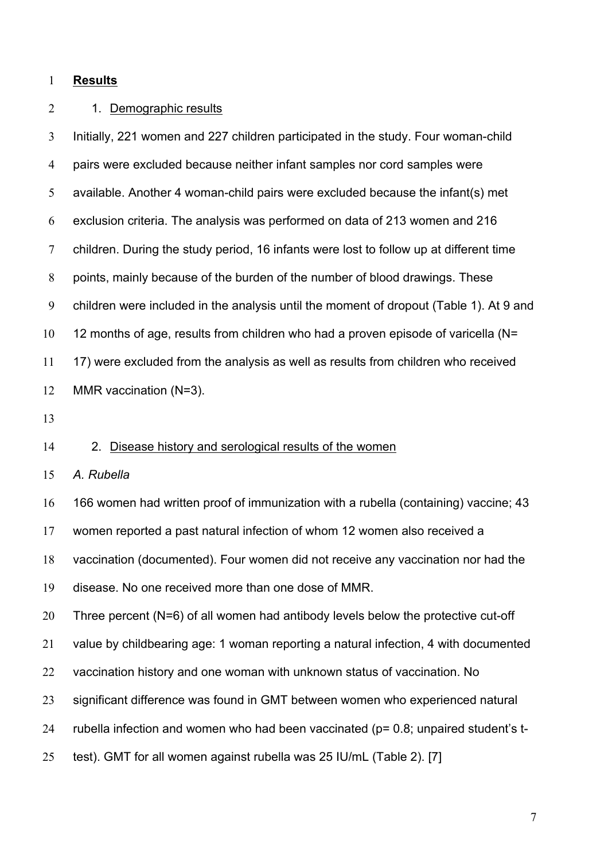# **Results**

#### 2 1. Demographic results

 Initially, 221 women and 227 children participated in the study. Four woman-child pairs were excluded because neither infant samples nor cord samples were available. Another 4 woman-child pairs were excluded because the infant(s) met exclusion criteria. The analysis was performed on data of 213 women and 216 children. During the study period, 16 infants were lost to follow up at different time points, mainly because of the burden of the number of blood drawings. These children were included in the analysis until the moment of dropout (Table 1). At 9 and 12 months of age, results from children who had a proven episode of varicella (N= 17) were excluded from the analysis as well as results from children who received MMR vaccination (N=3).

#### 2. Disease history and serological results of the women

# *A. Rubella*

 166 women had written proof of immunization with a rubella (containing) vaccine; 43 women reported a past natural infection of whom 12 women also received a vaccination (documented). Four women did not receive any vaccination nor had the disease. No one received more than one dose of MMR. Three percent (N=6) of all women had antibody levels below the protective cut-off value by childbearing age: 1 woman reporting a natural infection, 4 with documented vaccination history and one woman with unknown status of vaccination. No

- significant difference was found in GMT between women who experienced natural
- rubella infection and women who had been vaccinated (p= 0.8; unpaired student's t-
- test). GMT for all women against rubella was 25 IU/mL (Table 2). [7]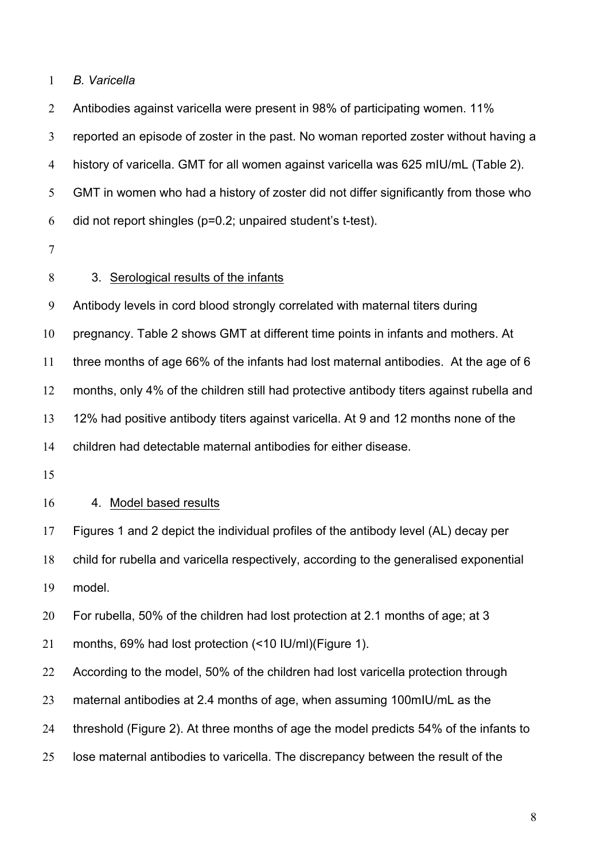# *B. Varicella*

Antibodies against varicella were present in 98% of participating women. 11%

reported an episode of zoster in the past. No woman reported zoster without having a

history of varicella. GMT for all women against varicella was 625 mIU/mL (Table 2).

GMT in women who had a history of zoster did not differ significantly from those who

did not report shingles (p=0.2; unpaired student's t-test).

# 3. Serological results of the infants

 Antibody levels in cord blood strongly correlated with maternal titers during pregnancy. Table 2 shows GMT at different time points in infants and mothers. At three months of age 66% of the infants had lost maternal antibodies. At the age of 6 months, only 4% of the children still had protective antibody titers against rubella and 12% had positive antibody titers against varicella. At 9 and 12 months none of the children had detectable maternal antibodies for either disease.

# 4. Model based results

 Figures 1 and 2 depict the individual profiles of the antibody level (AL) decay per child for rubella and varicella respectively, according to the generalised exponential model.

For rubella, 50% of the children had lost protection at 2.1 months of age; at 3

months, 69% had lost protection (<10 IU/ml)(Figure 1).

According to the model, 50% of the children had lost varicella protection through

maternal antibodies at 2.4 months of age, when assuming 100mIU/mL as the

threshold (Figure 2). At three months of age the model predicts 54% of the infants to

lose maternal antibodies to varicella. The discrepancy between the result of the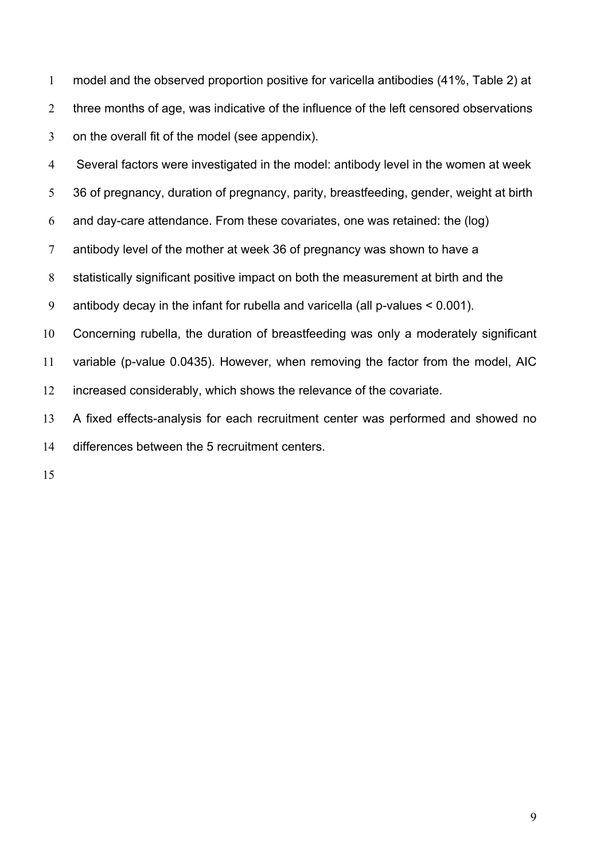model and the observed proportion positive for varicella antibodies (41%, Table 2) at 2 three months of age, was indicative of the influence of the left censored observations on the overall fit of the model (see appendix).

Several factors were investigated in the model: antibody level in the women at week

36 of pregnancy, duration of pregnancy, parity, breastfeeding, gender, weight at birth

and day-care attendance. From these covariates, one was retained: the (log)

antibody level of the mother at week 36 of pregnancy was shown to have a

statistically significant positive impact on both the measurement at birth and the

antibody decay in the infant for rubella and varicella (all p-values < 0.001).

 Concerning rubella, the duration of breastfeeding was only a moderately significant variable (p-value 0.0435). However, when removing the factor from the model, AIC increased considerably, which shows the relevance of the covariate.

 A fixed effects-analysis for each recruitment center was performed and showed no differences between the 5 recruitment centers.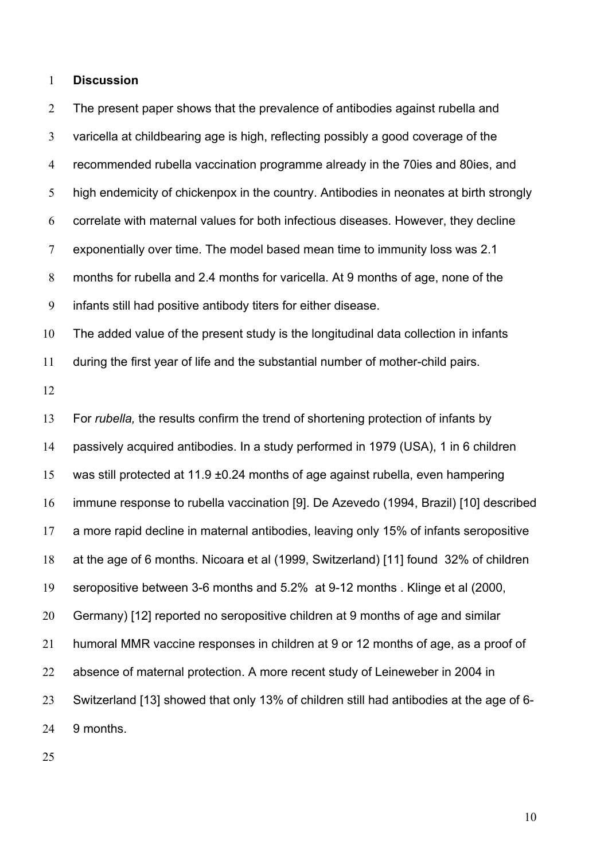#### **Discussion**

2 The present paper shows that the prevalence of antibodies against rubella and varicella at childbearing age is high, reflecting possibly a good coverage of the recommended rubella vaccination programme already in the 70ies and 80ies, and high endemicity of chickenpox in the country. Antibodies in neonates at birth strongly correlate with maternal values for both infectious diseases. However, they decline exponentially over time. The model based mean time to immunity loss was 2.1 months for rubella and 2.4 months for varicella. At 9 months of age, none of the infants still had positive antibody titers for either disease. The added value of the present study is the longitudinal data collection in infants during the first year of life and the substantial number of mother-child pairs. For *rubella,* the results confirm the trend of shortening protection of infants by passively acquired antibodies. In a study performed in 1979 (USA), 1 in 6 children was still protected at 11.9 ±0.24 months of age against rubella, even hampering immune response to rubella vaccination [9]. De Azevedo (1994, Brazil) [10] described a more rapid decline in maternal antibodies, leaving only 15% of infants seropositive at the age of 6 months. Nicoara et al (1999, Switzerland) [11] found 32% of children seropositive between 3-6 months and 5.2% at 9-12 months . Klinge et al (2000, Germany) [12] reported no seropositive children at 9 months of age and similar humoral MMR vaccine responses in children at 9 or 12 months of age, as a proof of absence of maternal protection. A more recent study of Leineweber in 2004 in Switzerland [13] showed that only 13% of children still had antibodies at the age of 6- 9 months.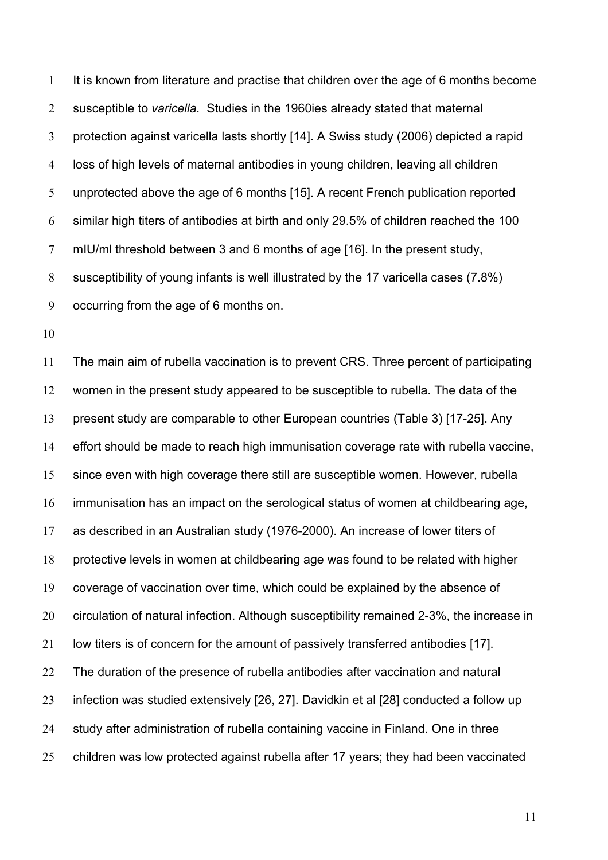It is known from literature and practise that children over the age of 6 months become susceptible to *varicella.* Studies in the 1960ies already stated that maternal protection against varicella lasts shortly [14]. A Swiss study (2006) depicted a rapid loss of high levels of maternal antibodies in young children, leaving all children unprotected above the age of 6 months [15]. A recent French publication reported similar high titers of antibodies at birth and only 29.5% of children reached the 100 mIU/ml threshold between 3 and 6 months of age [16]. In the present study, susceptibility of young infants is well illustrated by the 17 varicella cases (7.8%) occurring from the age of 6 months on.

 The main aim of rubella vaccination is to prevent CRS. Three percent of participating women in the present study appeared to be susceptible to rubella. The data of the present study are comparable to other European countries (Table 3) [17-25]. Any effort should be made to reach high immunisation coverage rate with rubella vaccine, since even with high coverage there still are susceptible women. However, rubella immunisation has an impact on the serological status of women at childbearing age, as described in an Australian study (1976-2000). An increase of lower titers of protective levels in women at childbearing age was found to be related with higher coverage of vaccination over time, which could be explained by the absence of circulation of natural infection. Although susceptibility remained 2-3%, the increase in low titers is of concern for the amount of passively transferred antibodies [17]. The duration of the presence of rubella antibodies after vaccination and natural infection was studied extensively [26, 27]. Davidkin et al [28] conducted a follow up study after administration of rubella containing vaccine in Finland. One in three children was low protected against rubella after 17 years; they had been vaccinated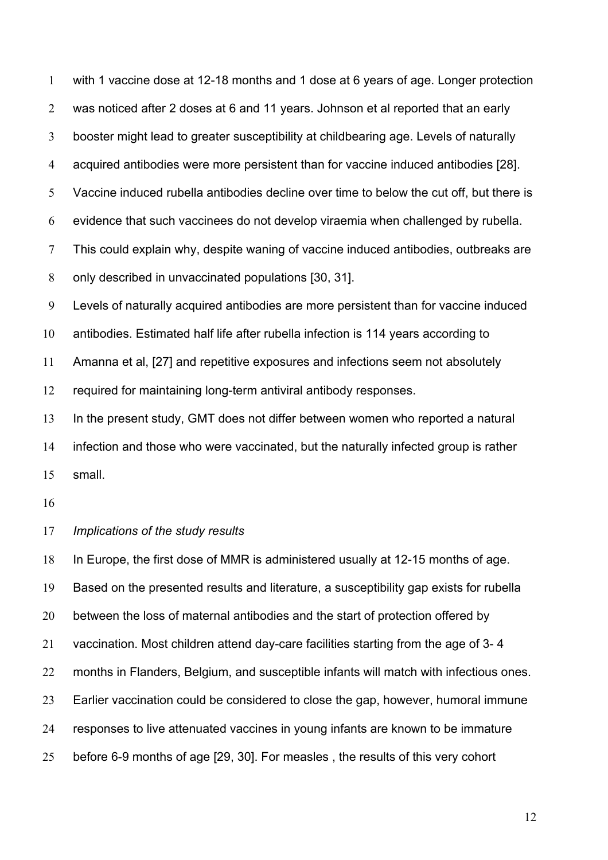with 1 vaccine dose at 12-18 months and 1 dose at 6 years of age. Longer protection was noticed after 2 doses at 6 and 11 years. Johnson et al reported that an early booster might lead to greater susceptibility at childbearing age. Levels of naturally acquired antibodies were more persistent than for vaccine induced antibodies [28]. Vaccine induced rubella antibodies decline over time to below the cut off, but there is evidence that such vaccinees do not develop viraemia when challenged by rubella. This could explain why, despite waning of vaccine induced antibodies, outbreaks are only described in unvaccinated populations [30, 31]. Levels of naturally acquired antibodies are more persistent than for vaccine induced antibodies. Estimated half life after rubella infection is 114 years according to Amanna et al, [27] and repetitive exposures and infections seem not absolutely required for maintaining long-term antiviral antibody responses. In the present study, GMT does not differ between women who reported a natural infection and those who were vaccinated, but the naturally infected group is rather

small.

# *Implications of the study results*

 In Europe, the first dose of MMR is administered usually at 12-15 months of age. Based on the presented results and literature, a susceptibility gap exists for rubella between the loss of maternal antibodies and the start of protection offered by vaccination. Most children attend day-care facilities starting from the age of 3- 4 months in Flanders, Belgium, and susceptible infants will match with infectious ones. Earlier vaccination could be considered to close the gap, however, humoral immune responses to live attenuated vaccines in young infants are known to be immature before 6-9 months of age [29, 30]. For measles , the results of this very cohort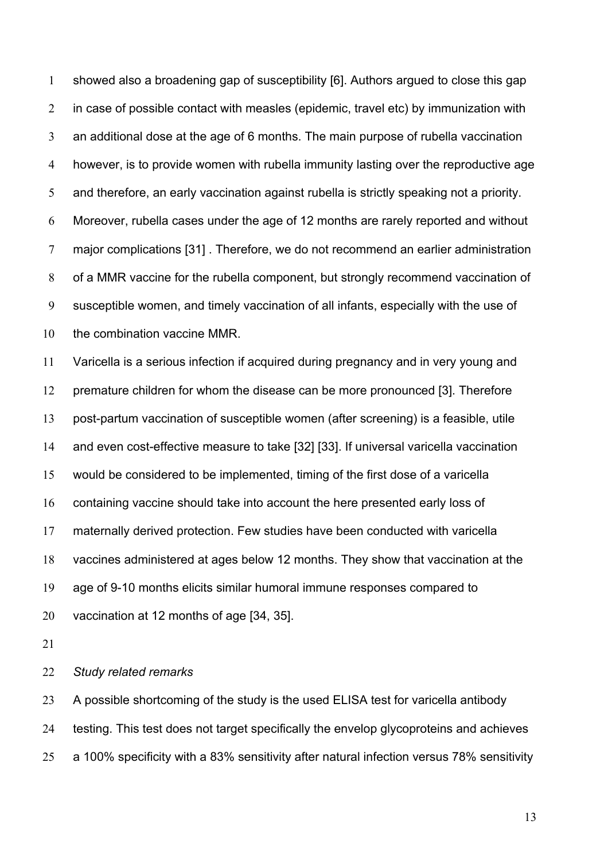showed also a broadening gap of susceptibility [6]. Authors argued to close this gap in case of possible contact with measles (epidemic, travel etc) by immunization with an additional dose at the age of 6 months. The main purpose of rubella vaccination however, is to provide women with rubella immunity lasting over the reproductive age and therefore, an early vaccination against rubella is strictly speaking not a priority. Moreover, rubella cases under the age of 12 months are rarely reported and without major complications [31] . Therefore, we do not recommend an earlier administration of a MMR vaccine for the rubella component, but strongly recommend vaccination of susceptible women, and timely vaccination of all infants, especially with the use of 10 the combination vaccine MMR.

 Varicella is a serious infection if acquired during pregnancy and in very young and premature children for whom the disease can be more pronounced [3]. Therefore post-partum vaccination of susceptible women (after screening) is a feasible, utile and even cost-effective measure to take [32] [33]. If universal varicella vaccination would be considered to be implemented, timing of the first dose of a varicella containing vaccine should take into account the here presented early loss of maternally derived protection. Few studies have been conducted with varicella vaccines administered at ages below 12 months. They show that vaccination at the age of 9-10 months elicits similar humoral immune responses compared to vaccination at 12 months of age [34, 35].

# *Study related remarks*

 A possible shortcoming of the study is the used ELISA test for varicella antibody testing. This test does not target specifically the envelop glycoproteins and achieves a 100% specificity with a 83% sensitivity after natural infection versus 78% sensitivity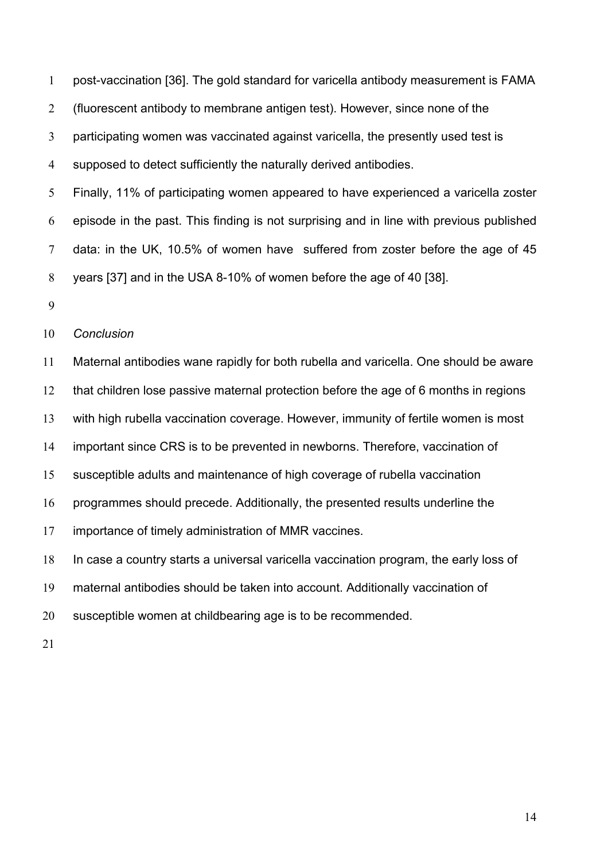post-vaccination [36]. The gold standard for varicella antibody measurement is FAMA (fluorescent antibody to membrane antigen test). However, since none of the participating women was vaccinated against varicella, the presently used test is supposed to detect sufficiently the naturally derived antibodies. Finally, 11% of participating women appeared to have experienced a varicella zoster episode in the past. This finding is not surprising and in line with previous published data: in the UK, 10.5% of women have suffered from zoster before the age of 45

years [37] and in the USA 8-10% of women before the age of 40 [38].

# *Conclusion*

 Maternal antibodies wane rapidly for both rubella and varicella. One should be aware that children lose passive maternal protection before the age of 6 months in regions with high rubella vaccination coverage. However, immunity of fertile women is most important since CRS is to be prevented in newborns. Therefore, vaccination of susceptible adults and maintenance of high coverage of rubella vaccination programmes should precede. Additionally, the presented results underline the importance of timely administration of MMR vaccines. In case a country starts a universal varicella vaccination program, the early loss of maternal antibodies should be taken into account. Additionally vaccination of susceptible women at childbearing age is to be recommended.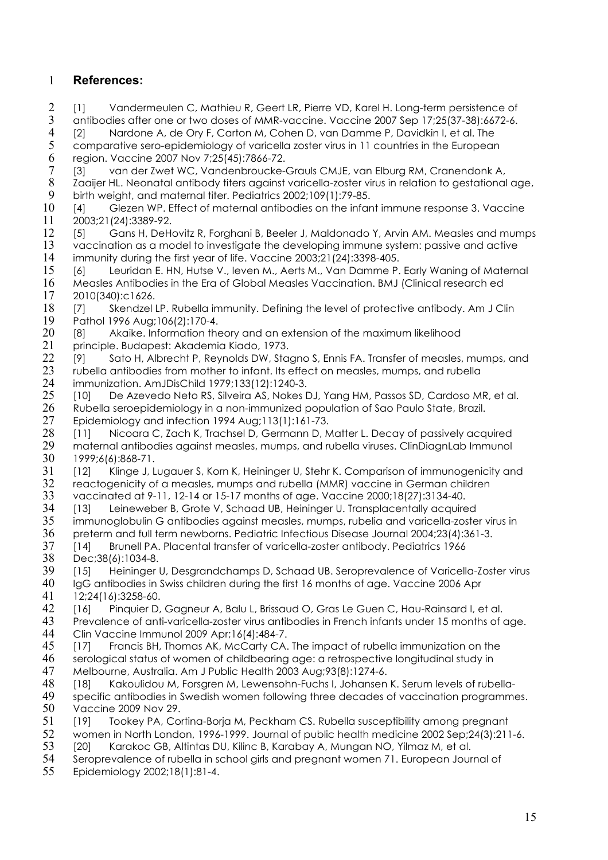# 1 **References:**

2 [1] Vandermeulen C, Mathieu R, Geert LR, Pierre VD, Karel H. Long-term persistence of<br>3 antibodies after one or two doses of MMR-vaccine. Vaccine 2007 Sep 17;25(37-38):6672-6. 3 antibodies after one or two doses of MMR-vaccine. Vaccine 2007 Sep 17;25(37-38):6672-6.<br>4 [2] Mardone A. de Ory F. Carton M. Cohen D. van Damme P. Davidkin L et al. The

4 [2] Nardone A, de Ory F, Carton M, Cohen D, van Damme P, Davidkin I, et al. The<br>5 comparative sero-epidemiology of varicella zoster virus in 11 countries in the Europear 5 comparative sero-epidemiology of varicella zoster virus in 11 countries in the European<br>6 region. Vaccine 2007 Nov 7;25(45):7866-72.

6 region. Vaccine 2007 Nov 7;25(45):7866-72. [3] van der Zwet WC, Vandenbroucke-Grauls CMJE, van Elburg RM, Cranendonk A, 8 Zaaijer HL. Neonatal antibody titers against varicella-zoster virus in relation to gestational age,<br>9 birth weight, and maternal titer. Pediatrics 2002;109(1):79-85. 9 birth weight, and maternal titer. Pediatrics 2002;109(1):79-85.<br>10 141 Glezen WP. Effect of maternal antibodies on the infar-

[4] Glezen WP. Effect of maternal antibodies on the infant immune response 3. Vaccine 11 2003;21(24):3389-92.<br>12 151 Gans H. DeHo

12 [5] Gans H, DeHovitz R, Forghani B, Beeler J, Maldonado Y, Arvin AM. Measles and mumps<br>13 vaccination as a model to investigate the developing immune system: passive and active 13 vaccination as a model to investigate the developing immune system: passive and active

14 immunity during the first year of life. Vaccine 2003;21(24):3398-405.<br>15 [6] Leuridan E. HN, Hutse V., leven M., Aerts M., Van Damme P. [6] Leuridan E. HN, Hutse V., Ieven M., Aerts M., Van Damme P. Early Waning of Maternal 16 Measles Antibodies in the Era of Global Measles Vaccination. BMJ (Clinical research ed 17 2010(340):c1626.<br>18 I71 Skendzell

18 [7] Skendzel LP. Rubella immunity. Defining the level of protective antibody. Am J Clin<br>19 Pathol 1996 Aua:106(2):170-4. 19 Pathol 1996 Aug;106(2):170-4.<br>20 **181** Akaike. Information the

20 [8] Akaike. Information theory and an extension of the maximum likelihood 21 principle. Budapest: Akademia Kiado, 1973.

22 [9] Sato H, Albrecht P, Reynolds DW, Stagno S, Ennis FA. Transfer of measles, mumps, and 23 rubella antibodies from mother to infant. Its effect on measles, mumps, and rubella<br>24 immunization. AmJDisChild 1979:133(12):1240-3. immunization. AmJDisChild 1979;133(12):1240-3.

25 [10] De Azevedo Neto RS, Silveira AS, Nokes DJ, Yang HM, Passos SD, Cardoso MR, et al.<br>26 Rubella seroepidemiology in a non-immunized population of Sao Paulo State, Brazil. 26 Rubella seroepidemiology in a non-immunized population of Sao Paulo State, Brazil.<br>27 Epidemiology and infection 1994 Aug;113(1):161-73. 27 Epidemiology and infection 1994 Aug;113(1):161-73.

28 [11] Nicoara C, Zach K, Trachsel D, Germann D, Matter L. Decay of passively acquired<br>29 maternal antibodies against measles, mumps, and rubella viruses. ClinDiaanLab Immunol 29 maternal antibodies against measles, mumps, and rubella viruses. ClinDiagnLab Immunol 30 1999;6(6):868-71.

31 [12] Klinge J, Lugauer S, Korn K, Heininger U, Stehr K. Comparison of immunogenicity and<br>32 reactogenicity of a measles, mumps and rubella (MMR) vaccine in German children reactogenicity of a measles, mumps and rubella (MMR) vaccine in German children

33 vaccinated at 9-11, 12-14 or 15-17 months of age. Vaccine 2000;18(27):3134-40.<br>34 [13] Leineweber B, Grote V, Schaad UB, Heininger U. Transplacentally acquire

34 [13] Leineweber B, Grote V, Schaad UB, Heininger U. Transplacentally acquired<br>35 immunoalobulin G antibodies against measles, mumps, rubelia and varicella-zoste immunoglobulin G antibodies against measles, mumps, rubelia and varicella-zoster virus in

36 preterm and full term newborns. Pediatric Infectious Disease Journal 2004;23(4):361-3.

37 [14] Brunell PA. Placental transfer of varicella-zoster antibody. Pediatrics 1966 Dec: 38 (6): 1034-8.

39 [15] Heininger U, Desgrandchamps D, Schaad UB. Seroprevalence of Varicella-Zoster virus

40 IgG antibodies in Swiss children during the first 16 months of age. Vaccine 2006 Apr 41 12;24(16):3258-60.<br>42 [16] Pinguier D,

42 [16] Pinquier D, Gagneur A, Balu L, Brissaud O, Gras Le Guen C, Hau-Rainsard I, et al.<br>43 Prevalence of anti-varicella-zoster virus antibodies in French infants under 15 months of a

Prevalence of anti-varicella-zoster virus antibodies in French infants under 15 months of age. 44 Clin Vaccine Immunol 2009 Apr;16(4):484-7.

45 [17] Francis BH, Thomas AK, McCarty CA. The impact of rubella immunization on the<br>46 serological status of women of childbearing gae: a retrospective longitudingl study in serological status of women of childbearing age: a retrospective longitudinal study in 47 Melbourne, Australia. Am J Public Health 2003 Aug;93(8):1274-6.

48 [18] Kakoulidou M, Forsgren M, Lewensohn-Fuchs I, Johansen K. Serum levels of rubella-

49 specific antibodies in Swedish women following three decades of vaccination programmes.

50 Vaccine 2009 Nov 29.<br>51 [19] Tookey PA, Co 51 [19] Tookey PA, Cortina-Borja M, Peckham CS. Rubella susceptibility among pregnant

52 women in North London, 1996-1999. Journal of public health medicine 2002 Sep;24(3):211-6.<br>53 [20] Karakoc GB, Altintas DU, Kilinc B, Karabay A, Mungan NO, Yilmaz M, et al.

53 [20] Karakoc GB, Altintas DU, Kilinc B, Karabay A, Mungan NO, Yilmaz M, et al.

- 54 Seroprevalence of rubella in school girls and pregnant women 71. European Journal of
- 55 Epidemiology 2002;18(1):81-4.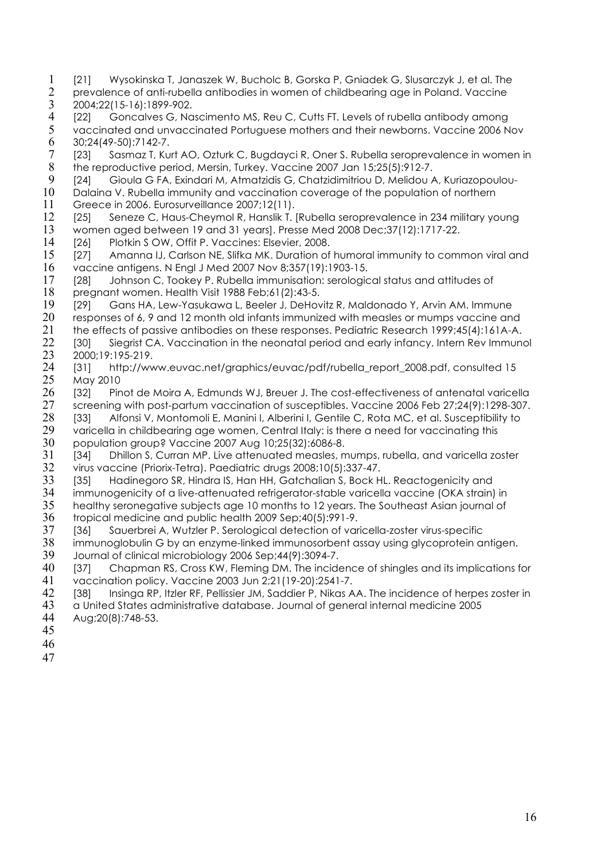- 1 [21] Wysokinska T, Janaszek W, Bucholc B, Gorska P, Gniadek G, Slusarczyk J, et al. The 2 prevalence of anti-rubella antibodies in women of childbearing age in Poland. Vaccine
- 3 2004;22(15-16):1899-902. [22] Goncalves G, Nascimento MS, Reu C, Cutts FT. Levels of rubella antibody among 5 vaccinated and unvaccinated Portuguese mothers and their newborns. Vaccine 2006 Nov<br>6 30:24(49-50):7142-7.
- 6 30;24(49-50):7142-7.<br>7 [23] Sasmaz T. Kui 7 [23] Sasmaz T, Kurt AO, Ozturk C, Bugdayci R, Oner S. Rubella seroprevalence in women in 8 the reproductive period, Mersin, Turkey. Vaccine 2007 Jan 15;25(5):912-7.<br>9 [24] Gioula G FA, Exindari M, Atmatzidis G, Chatzidimitriou D, Melidou A
- 9 [24] Gioula G FA, Exindari M, Atmatzidis G, Chatzidimitriou D, Melidou A, Kuriazopoulou-
- 10 Dalaina V. Rubella immunity and vaccination coverage of the population of northern 11 Greece in 2006. Eurosurveillance 2007;12(11).
- 12 [25] Seneze C, Haus-Cheymol R, Hanslik T. [Rubella seroprevalence in 234 military young 13 women aged between 19 and 31 years]. Presse Med 2008 Dec;37(12):1717-22.<br>14 [26] Plotkin S OW, Offit P. Vaccines: Elsevier, 2008.
- [26] Plotkin S OW, Offit P. Vaccines: Elsevier, 2008.
- 15 [27] Amanna IJ, Carlson NE, Slifka MK. Duration of humoral immunity to common viral and 16 vaccine antigens. N Engl J Med 2007 Nov 8;357(19):1903-15.<br>17 [28] Johnson C, Tookey P. Rubella immunisation: serologic
- 17 [28] Johnson C, Tookey P. Rubella immunisation: serological status and attitudes of 18 pregnant women. Health Visit 1988 Feb;61(2):43-5.<br>19 1291 Gans HA, Lew-Yasukawa L, Beeler J, DeHov
- [29] Gans HA, Lew-Yasukawa L, Beeler J, DeHovitz R, Maldonado Y, Arvin AM. Immune
- 20 responses of 6, 9 and 12 month old infants immunized with measles or mumps vaccine and
- 21 the effects of passive antibodies on these responses. Pediatric Research 1999;45(4):161A-A.<br>22 [30] Siearist CA. Vaccination in the neonatal period and early infancy. Intern Rev Immung 22 [30] Siegrist CA. Vaccination in the neonatal period and early infancy. Intern Rev Immunol<br>23 2000;19:195-219. 23 2000;19:195-219.
- 24 [31] http://www.euvac.net/graphics/euvac/pdf/rubella\_report\_2008.pdf, consulted 15<br>25 May 2010 May 2010
- 26 [32] Pinot de Moira A, Edmunds WJ, Breuer J. The cost-effectiveness of antenatal varicella
- 27 screening with post-partum vaccination of susceptibles. Vaccine 2006 Feb 27;24(9):1298-307. 28 [33] Alfonsi V, Montomoli E, Manini I, Alberini I, Gentile C, Rota MC, et al. Susceptibility to<br>29 varicella in childbearing age women, Central Italy: is there a need for vaccinating this
- 29 varicella in childbearing age women, Central Italy: is there a need for vaccinating this<br>30 population aroup? Vaccine 2007 Aug 10:25(32):6086-8. 30 population group? Vaccine 2007 Aug 10;25(32):6086-8.<br>31 [34] Dhillon S. Curran MP. Live attenuated measles. n
- [34] Dhillon S, Curran MP. Live attenuated measles, mumps, rubella, and varicella zoster 32 virus vaccine (Priorix-Tetra). Paediatric drugs 2008;10(5):337-47.<br>33 [35] Hadinegoro SR, Hindra IS, Han HH, Gatchalian S, Bock H
- [35] Hadinegoro SR, Hindra IS, Han HH, Gatchalian S, Bock HL. Reactogenicity and
- 34 immunogenicity of a live-attenuated refrigerator-stable varicella vaccine (OKA strain) in 35 healthy seronegative subjects age 10 months to 12 years. The Southeast Asian journal of
- 36 tropical medicine and public health 2009 Sep;40(5):991-9.
- 37 [36] Sauerbrei A, Wutzler P. Serological detection of varicella-zoster virus-specific
- 38 immunoglobulin G by an enzyme-linked immunosorbent assay using glycoprotein antigen.<br>39 Journal of clinical microbioloay 2006 Sep:44(9):3094-7. 39 Journal of clinical microbiology 2006 Sep;44(9):3094-7.
- 40 [37] Chapman RS, Cross KW, Fleming DM. The incidence of shingles and its implications for 41 vaccination policy. Vaccine 2003 Jun 2;21 (19-20):2541-7.<br>42 [38] Insinga RP, Itzler RF, Pellissier JM, Saddier P, Nikas A
- 42 [38] Insinga RP, Itzler RF, Pellissier JM, Saddier P, Nikas AA. The incidence of herpes zoster in
- 43 a United States administrative database. Journal of general internal medicine 2005
- 44 Aug;20(8):748-53.
- 45
- 46
- 47